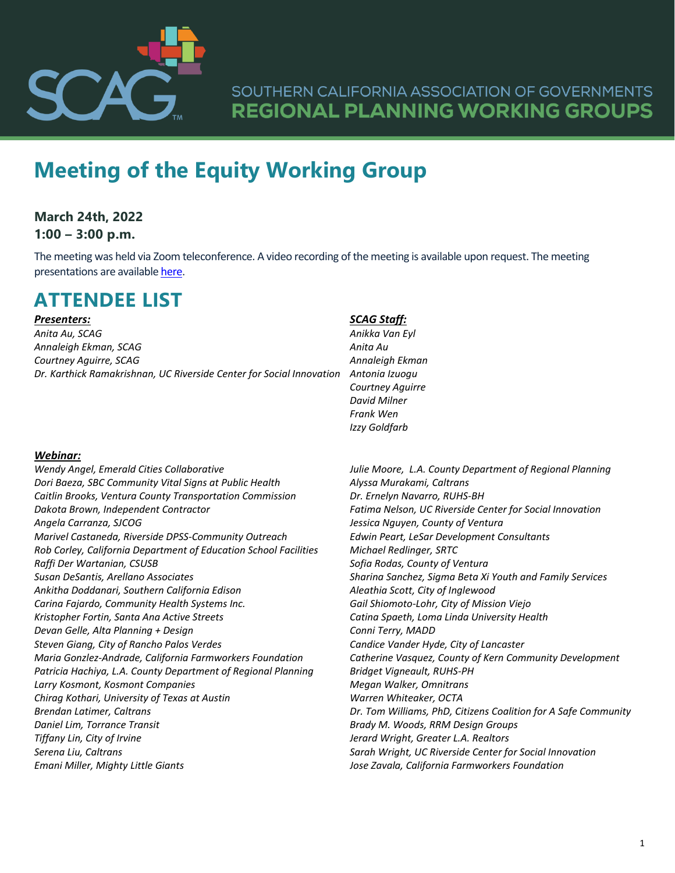

# **Meeting of the Equity Working Group**

## **March 24th, 2022 1:00 – 3:00 p.m.**

The meeting was held via Zoom teleconference. A video recording of the meeting is available upon request. The meeting presentations are availabl[e here.](https://scag.shttps/scag.ca.gov/sites/main/files/file-attachments/ewg032422presentation.pdf?1648747865harepoint.com/sites/PlanningStrategyDepartment/Shared%20Documents/General/Working%20Groups/Equity%20Working%20Group/2022_5.%20March/Meeting%20Summary/20220324_EquityWorkingGroup_MeetingSummary_Clean.docx)

# **ATTENDEE LIST**

#### *Presenters:*

*Anita Au, SCAG Annaleigh Ekman, SCAG Courtney Aguirre, SCAG Dr. Karthick Ramakrishnan, UC Riverside Center for Social Innovation* 

## *SCAG Staff:*

*Anikka Van Eyl Anita Au Annaleigh Ekman Antonia Izuogu Courtney Aguirre David Milner Frank Wen Izzy Goldfarb*

#### *Webinar:*

*Wendy Angel, Emerald Cities Collaborative Dori Baeza, SBC Community Vital Signs at Public Health Caitlin Brooks, Ventura County Transportation Commission Dakota Brown, Independent Contractor Angela Carranza, SJCOG Marivel Castaneda, Riverside DPSS-Community Outreach Rob Corley, California Department of Education School Facilities Raffi Der Wartanian, CSUSB Susan DeSantis, Arellano Associates Ankitha Doddanari, Southern California Edison Carina Fajardo, Community Health Systems Inc. Kristopher Fortin, Santa Ana Active Streets Devan Gelle, Alta Planning + Design Steven Giang, City of Rancho Palos Verdes Maria Gonzlez-Andrade, California Farmworkers Foundation Patricia Hachiya, L.A. County Department of Regional Planning Larry Kosmont, Kosmont Companies Chirag Kothari, University of Texas at Austin Brendan Latimer, Caltrans Daniel Lim, Torrance Transit Tiffany Lin, City of Irvine Serena Liu, Caltrans Emani Miller, Mighty Little Giants*

*Julie Moore, L.A. County Department of Regional Planning Alyssa Murakami, Caltrans Dr. Ernelyn Navarro, RUHS-BH Fatima Nelson, UC Riverside Center for Social Innovation Jessica Nguyen, County of Ventura Edwin Peart, LeSar Development Consultants Michael Redlinger, SRTC Sofia Rodas, County of Ventura Sharina Sanchez, Sigma Beta Xi Youth and Family Services Aleathia Scott, City of Inglewood Gail Shiomoto-Lohr, City of Mission Viejo Catina Spaeth, Loma Linda University Health Conni Terry, MADD Candice Vander Hyde, City of Lancaster Catherine Vasquez, County of Kern Community Development Bridget Vigneault, RUHS-PH Megan Walker, Omnitrans Warren Whiteaker, OCTA Dr. Tom Williams, PhD, Citizens Coalition for A Safe Community Brady M. Woods, RRM Design Groups Jerard Wright, Greater L.A. Realtors Sarah Wright, UC Riverside Center for Social Innovation Jose Zavala, California Farmworkers Foundation*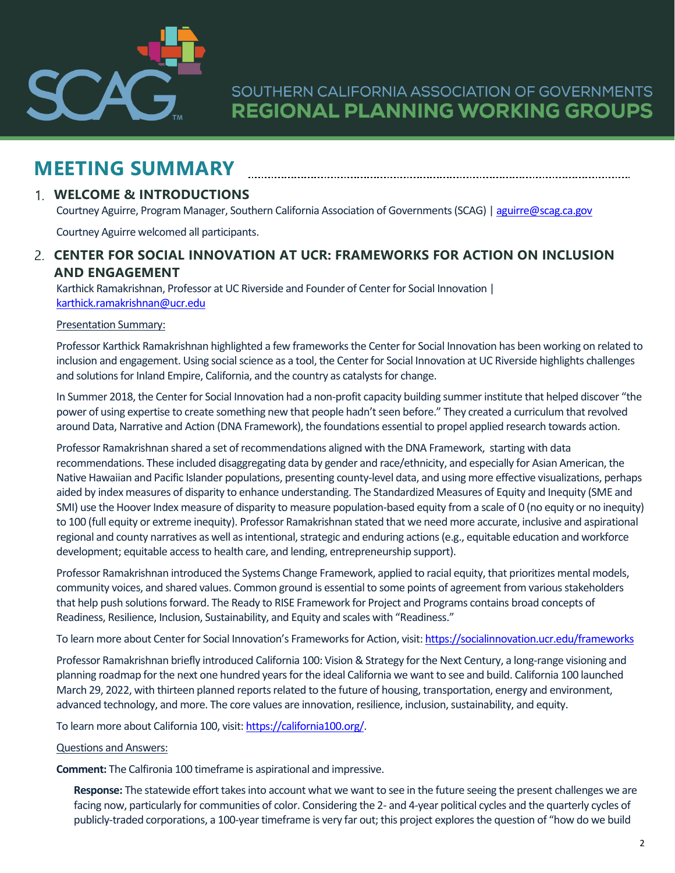

# **MEETING SUMMARY**

## **WELCOME & INTRODUCTIONS**

Courtney Aguirre, Program Manager, Southern California Association of Governments(SCAG) [| aguirre@scag.ca.gov](mailto:aguirre@scag.ca.gov)

Courtney Aguirre welcomed all participants.

## **CENTER FOR SOCIAL INNOVATION AT UCR: FRAMEWORKS FOR ACTION ON INCLUSION AND ENGAGEMENT**

Karthick Ramakrishnan, Professor at UC Riverside and Founder of Center for Social Innovation | [karthick.ramakrishnan@ucr.edu](mailto:karthick.ramakrishnan@ucr.edu)

#### Presentation Summary:

Professor Karthick Ramakrishnan highlighted a few frameworks the Center for Social Innovation has been working on related to inclusion and engagement. Using social science as a tool, the Center for Social Innovation at UC Riverside highlights challenges and solutions for Inland Empire, California, and the country as catalysts for change.

In Summer 2018, the Center for Social Innovation had a non-profit capacity building summer institute that helped discover "the power of using expertise to create something new that people hadn't seen before." They created a curriculum that revolved around Data, Narrative and Action (DNA Framework), the foundations essential to propel applied research towards action.

Professor Ramakrishnan shared a set of recommendations aligned with the DNA Framework, starting with data recommendations. These included disaggregating data by gender and race/ethnicity, and especially for Asian American, the Native Hawaiian and Pacific Islander populations, presenting county-level data, and using more effective visualizations, perhaps aided by index measures of disparity to enhance understanding. The Standardized Measures of Equity and Inequity (SME and SMI) use the Hoover Index measure of disparity to measure population-based equity from a scale of 0 (no equity or no inequity) to 100 (full equity or extreme inequity). Professor Ramakrishnan stated that we need more accurate, inclusive and aspirational regional and county narratives as well as intentional, strategic and enduring actions (e.g., equitable education and workforce development; equitable access to health care, and lending, entrepreneurship support).

Professor Ramakrishnan introduced the Systems Change Framework, applied to racial equity, that prioritizes mental models, community voices, and shared values. Common ground is essential to some points of agreement from various stakeholders that help push solutions forward. The Ready to RISE Framework for Project and Programs contains broad concepts of Readiness, Resilience, Inclusion, Sustainability, and Equity and scales with "Readiness."

To learn more about Center for Social Innovation's Frameworks for Action, visit:<https://socialinnovation.ucr.edu/frameworks>

Professor Ramakrishnan briefly introduced California 100: Vision & Strategy for the Next Century, a long-range visioning and planning roadmap for the next one hundred years for the ideal California we want to see and build. California 100 launched March 29, 2022, with thirteen planned reports related to the future of housing, transportation, energy and environment, advanced technology, and more. The core values are innovation, resilience, inclusion, sustainability, and equity.

To learn more about California 100, visit[: https://california100.org/.](https://california100.org/)

#### Questions and Answers:

**Comment:** The Calfironia 100 timeframe is aspirational and impressive.

**Response:** The statewide effort takes into account what we want to see in the future seeing the present challenges we are facing now, particularly for communities of color. Considering the 2- and 4-year political cycles and the quarterly cycles of publicly-traded corporations, a 100-year timeframe is very far out; this project explores the question of "how do we build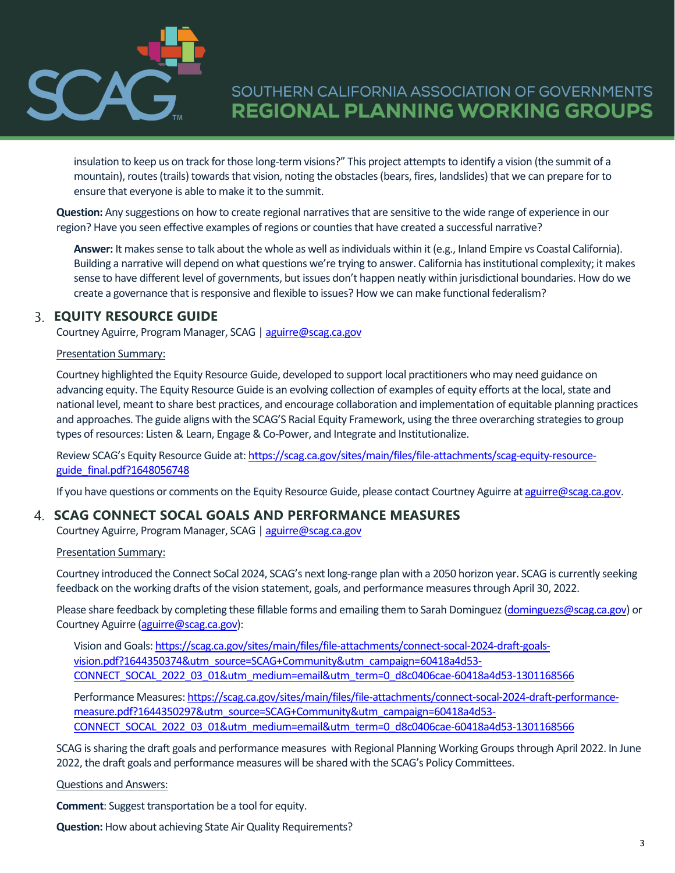

insulation to keep us on track for those long-term visions?" This project attempts to identify a vision (the summit of a mountain), routes (trails) towards that vision, noting the obstacles (bears, fires, landslides) that we can prepare forto ensure that everyone is able to make it to the summit.

**Question:** Any suggestions on how to create regional narratives that are sensitive to the wide range of experience in our region? Have you seen effective examples of regions or counties that have created a successful narrative?

**Answer:** It makes sense to talk about the whole as well as individuals within it (e.g., Inland Empire vs Coastal California). Building a narrative will depend on what questions we're trying to answer. California has institutional complexity; it makes sense to have different level of governments, but issues don't happen neatly within jurisdictional boundaries. How do we create a governance that is responsive and flexible to issues? How we can make functional federalism?

## **EQUITY RESOURCE GUIDE**

Courtney Aguirre, Program Manager, SCAG [| aguirre@scag.ca.gov](mailto:aguirre@scag.ca.gov)

#### Presentation Summary:

Courtney highlighted the Equity Resource Guide, developed to support local practitioners who may need guidance on advancing equity. The Equity Resource Guide is an evolving collection of examples of equity efforts at the local, state and national level, meant to share best practices, and encourage collaboration and implementation of equitable planning practices and approaches. The guide aligns with the SCAG'S Racial Equity Framework, using the three overarching strategies to group types of resources: Listen & Learn, Engage & Co-Power, and Integrate and Institutionalize.

Review SCAG's Equity Resource Guide at: [https://scag.ca.gov/sites/main/files/file-attachments/scag-equity-resource](https://scag.ca.gov/sites/main/files/file-attachments/scag-equity-resource-guide_final.pdf?1648056748)[guide\\_final.pdf?1648056748](https://scag.ca.gov/sites/main/files/file-attachments/scag-equity-resource-guide_final.pdf?1648056748)

If you have questions or comments on the Equity Resource Guide, please contact Courtney Aguirre a[t aguirre@scag.ca.gov.](mailto:aguirre@scag.ca.gov)

### **SCAG CONNECT SOCAL GOALS AND PERFORMANCE MEASURES**

Courtney Aguirre, Program Manager, SCAG [| aguirre@scag.ca.gov](mailto:aguirre@scag.ca.gov)

#### Presentation Summary:

Courtney introduced the Connect SoCal 2024, SCAG's next long-range plan with a 2050 horizon year. SCAG is currently seeking feedback on the working drafts of the vision statement, goals, and performance measures through April 30, 2022.

Please share feedback by completing these fillable forms and emailing them to Sarah Dominguez [\(dominguezs@scag.ca.gov\)](mailto:dominguezs@scag.ca.gov) or Courtney Aguirre [\(aguirre@scag.ca.gov\)](mailto:aguirre@scag.ca.gov):

Vision and Goals[: https://scag.ca.gov/sites/main/files/file-attachments/connect-socal-2024-draft-goals](https://scag.ca.gov/sites/main/files/file-attachments/connect-socal-2024-draft-goals-vision.pdf?1644350374&utm_source=SCAG+Community&utm_campaign=60418a4d53-CONNECT_SOCAL_2022_03_01&utm_medium=email&utm_term=0_d8c0406cae-60418a4d53-1301168566)[vision.pdf?1644350374&utm\\_source=SCAG+Community&utm\\_campaign=60418a4d53-](https://scag.ca.gov/sites/main/files/file-attachments/connect-socal-2024-draft-goals-vision.pdf?1644350374&utm_source=SCAG+Community&utm_campaign=60418a4d53-CONNECT_SOCAL_2022_03_01&utm_medium=email&utm_term=0_d8c0406cae-60418a4d53-1301168566) [CONNECT\\_SOCAL\\_2022\\_03\\_01&utm\\_medium=email&utm\\_term=0\\_d8c0406cae-60418a4d53-1301168566](https://scag.ca.gov/sites/main/files/file-attachments/connect-socal-2024-draft-goals-vision.pdf?1644350374&utm_source=SCAG+Community&utm_campaign=60418a4d53-CONNECT_SOCAL_2022_03_01&utm_medium=email&utm_term=0_d8c0406cae-60418a4d53-1301168566)

Performance Measures[: https://scag.ca.gov/sites/main/files/file-attachments/connect-socal-2024-draft-performance](https://scag.ca.gov/sites/main/files/file-attachments/connect-socal-2024-draft-performance-measure.pdf?1644350297&utm_source=SCAG+Community&utm_campaign=60418a4d53-CONNECT_SOCAL_2022_03_01&utm_medium=email&utm_term=0_d8c0406cae-60418a4d53-1301168566)[measure.pdf?1644350297&utm\\_source=SCAG+Community&utm\\_campaign=60418a4d53-](https://scag.ca.gov/sites/main/files/file-attachments/connect-socal-2024-draft-performance-measure.pdf?1644350297&utm_source=SCAG+Community&utm_campaign=60418a4d53-CONNECT_SOCAL_2022_03_01&utm_medium=email&utm_term=0_d8c0406cae-60418a4d53-1301168566) [CONNECT\\_SOCAL\\_2022\\_03\\_01&utm\\_medium=email&utm\\_term=0\\_d8c0406cae-60418a4d53-1301168566](https://scag.ca.gov/sites/main/files/file-attachments/connect-socal-2024-draft-performance-measure.pdf?1644350297&utm_source=SCAG+Community&utm_campaign=60418a4d53-CONNECT_SOCAL_2022_03_01&utm_medium=email&utm_term=0_d8c0406cae-60418a4d53-1301168566)

SCAG is sharing the draft goals and performance measures with Regional Planning Working Groups through April 2022. In June 2022, the draft goals and performance measures will be shared with the SCAG's Policy Committees.

Questions and Answers:

**Comment**: Suggest transportation be a tool for equity.

**Question:** How about achieving State Air Quality Requirements?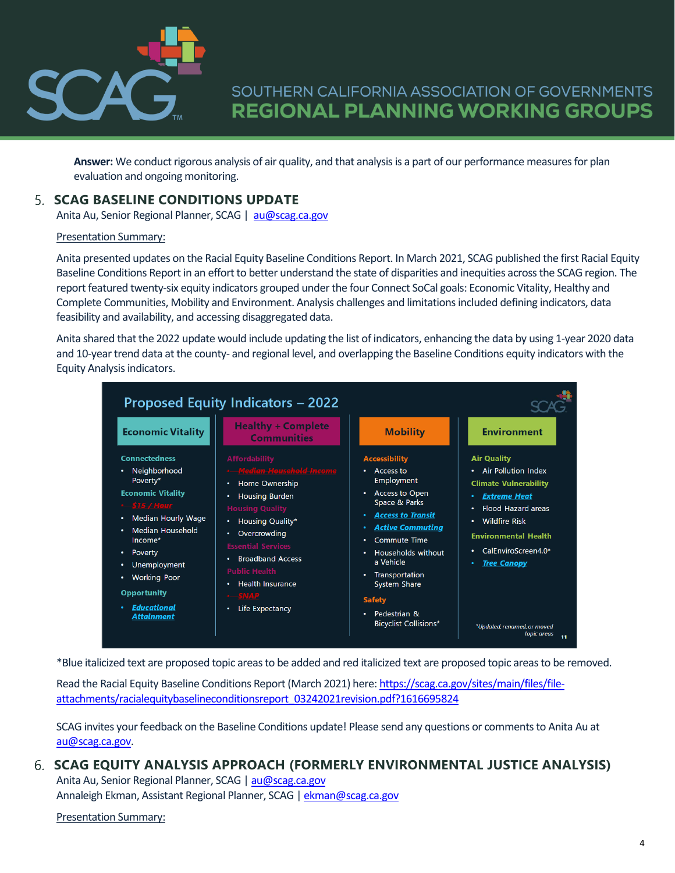

**Answer:** We conduct rigorous analysis of air quality, and that analysis is a part of our performance measures for plan evaluation and ongoing monitoring.

### **SCAG BASELINE CONDITIONS UPDATE**

Anita Au, Senior Regional Planner, SCAG | [au@scag.ca.gov](mailto:au@scag.ca.gov)

#### Presentation Summary:

Anita presented updates on the Racial Equity Baseline Conditions Report. In March 2021, SCAG published the first Racial Equity Baseline Conditions Report in an effort to better understand the state of disparities and inequities across the SCAG region. The report featured twenty-six equity indicators grouped under the four Connect SoCal goals: Economic Vitality, Healthy and Complete Communities, Mobility and Environment. Analysis challenges and limitations included defining indicators, data feasibility and availability, and accessing disaggregated data.

Anita shared that the 2022 update would include updating the list of indicators, enhancing the data by using 1-year 2020 data and 10-year trend data at the county- and regional level, and overlapping the Baseline Conditions equity indicators with the Equity Analysis indicators.



\*Blue italicized text are proposed topic areas to be added and red italicized text are proposed topic areas to be removed.

Read the Racial Equity Baseline Conditions Report (March 2021) here[: https://scag.ca.gov/sites/main/files/file](https://scag.ca.gov/sites/main/files/file-attachments/racialequitybaselineconditionsreport_03242021revision.pdf?1616695824)[attachments/racialequitybaselineconditionsreport\\_03242021revision.pdf?1616695824](https://scag.ca.gov/sites/main/files/file-attachments/racialequitybaselineconditionsreport_03242021revision.pdf?1616695824)

SCAG invites your feedback on the Baseline Conditions update! Please send any questions or comments to Anita Au at [au@scag.ca.gov.](mailto:au@scag.ca.gov)

#### **SCAG EQUITY ANALYSIS APPROACH (FORMERLY ENVIRONMENTAL JUSTICE ANALYSIS)**

Anita Au, Senior Regional Planner, SCAG | [au@scag.ca.gov](mailto:au@scag.ca.gov) Annaleigh Ekman, Assistant Regional Planner, SCAG [| ekman@scag.ca.gov](mailto:ekman@scag.ca.gov)

Presentation Summary: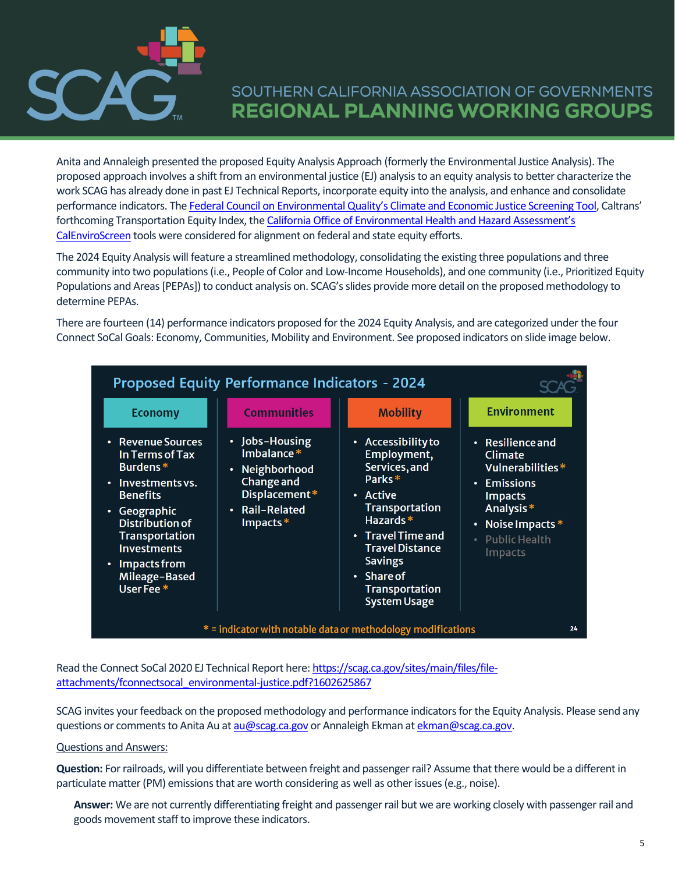

Anita and Annaleigh presented the proposed Equity Analysis Approach (formerly the Environmental Justice Analysis). The proposed approach involves a shift from an environmental justice (EJ) analysis to an equity analysis to better characterize the work SCAG has already done in past EJ Technical Reports, incorporate equity into the analysis, and enhance and consolidate performance indicators. The Federal Council on Environmental Quality's [Climate and Economic Justice Screening Tool,](https://screeningtool.geoplatform.gov/en/cejst#3/33.47/-97.5) Caltrans' forthcoming Transportation Equity Index, the California [Office of Environmental Health and Hazard Assessment's](https://oehha.ca.gov/calenviroscreen)  [CalEnviroScreen](https://oehha.ca.gov/calenviroscreen) tools were considered for alignment on federal and state equity efforts.

The 2024 Equity Analysis will feature a streamlined methodology, consolidating the existing three populations and three community into two populations(i.e., People of Color and Low-Income Households), and one community (i.e., Prioritized Equity Populations and Areas [PEPAs]) to conduct analysis on. SCAG's slides provide more detail on the proposed methodology to determine PEPAs.

There are fourteen (14) performance indicators proposed for the 2024 Equity Analysis, and are categorized under the four Connect SoCal Goals: Economy, Communities, Mobility and Environment. See proposed indicators on slide image below.

| <b>Proposed Equity Performance Indicators - 2024</b>                                                                                                                                                                                          |                                                                                                                |                                                                                                                                                                                                                                                               |                                                                                                                                                                      |
|-----------------------------------------------------------------------------------------------------------------------------------------------------------------------------------------------------------------------------------------------|----------------------------------------------------------------------------------------------------------------|---------------------------------------------------------------------------------------------------------------------------------------------------------------------------------------------------------------------------------------------------------------|----------------------------------------------------------------------------------------------------------------------------------------------------------------------|
| <b>Economy</b>                                                                                                                                                                                                                                | <b>Communities</b>                                                                                             | <b>Mobility</b>                                                                                                                                                                                                                                               | <b>Environment</b>                                                                                                                                                   |
| • Revenue Sources<br>In Terms of Tax<br>Burdens*<br>• Investments vs.<br><b>Benefits</b><br>• Geographic<br><b>Distribution of</b><br><b>Transportation</b><br><b>Investments</b><br>• Impacts from<br>Mileage-Based<br>User Fee <sup>*</sup> | • Jobs-Housing<br>Imbalance $*$<br>· Neighborhood<br>Change and<br>Displacement*<br>• Rail-Related<br>Impacts* | • Accessibility to<br>Employment,<br>Services, and<br>Parks $*$<br>• Active<br><b>Transportation</b><br>Hazards $*$<br>• Travel Time and<br><b>Travel Distance</b><br><b>Savings</b><br>Share of<br>$\bullet$<br><b>Transportation</b><br><b>System Usage</b> | • Resilience and<br><b>Climate</b><br>Vulnerabilities $*$<br>• Emissions<br><b>Impacts</b><br>Analysis*<br>Noise Impacts *<br>٠<br>• Public Health<br><b>Impacts</b> |
| * = indicator with notable data or methodology modifications<br>24                                                                                                                                                                            |                                                                                                                |                                                                                                                                                                                                                                                               |                                                                                                                                                                      |

Read the Connect SoCal 2020 EJ Technical Report here[: https://scag.ca.gov/sites/main/files/file](https://scag.ca.gov/sites/main/files/file-attachments/fconnectsocal_environmental-justice.pdf?1602625867)[attachments/fconnectsocal\\_environmental-justice.pdf?1602625867](https://scag.ca.gov/sites/main/files/file-attachments/fconnectsocal_environmental-justice.pdf?1602625867)

SCAG invites your feedback on the proposed methodology and performance indicators for the Equity Analysis. Please send any questions or comments to Anita Au a[t au@scag.ca.gov](mailto:au@scag.ca.gov) or Annaleigh Ekman a[t ekman@scag.ca.gov.](mailto:ekman@scag.ca.gov)

#### Questions and Answers:

**Question:** For railroads, will you differentiate between freight and passenger rail? Assume that there would be a different in particulate matter (PM) emissions that are worth considering as well as other issues (e.g., noise).

**Answer:** We are not currently differentiating freight and passenger rail but we are working closely with passenger rail and goods movement staff to improve these indicators.